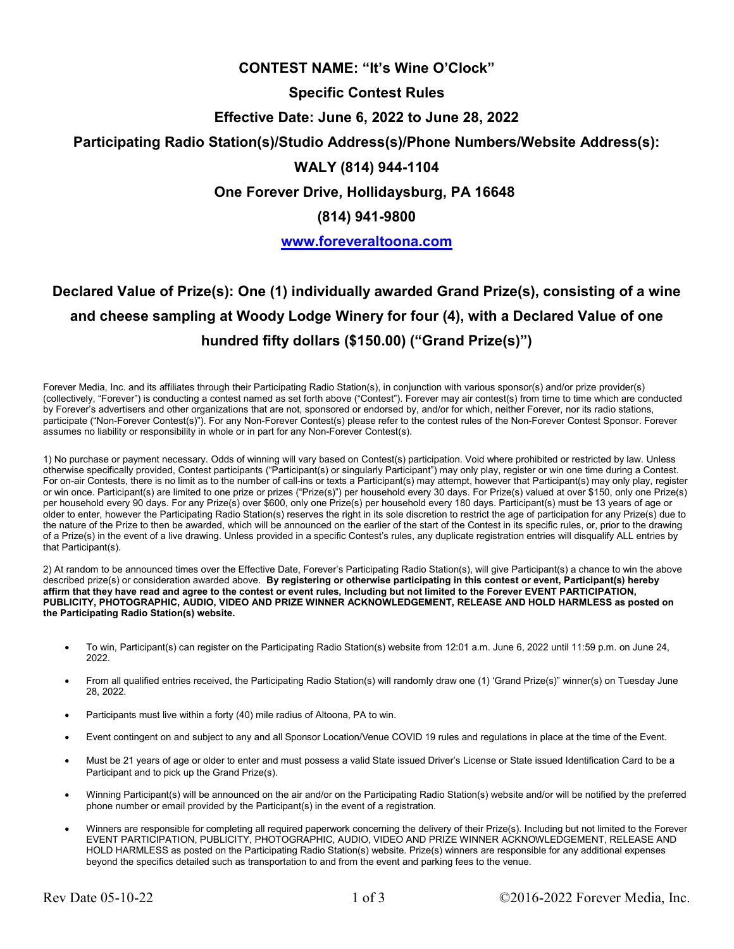# **CONTEST NAME: "It's Wine O'Clock"**

## **Specific Contest Rules**

# **Effective Date: June 6, 2022 to June 28, 2022**

# **Participating Radio Station(s)/Studio Address(s)/Phone Numbers/Website Address(s):**

## **WALY (814) 944-1104**

**One Forever Drive, Hollidaysburg, PA 16648**

#### **(814) 941-9800**

#### **www.foreveraltoona.com**

# **Declared Value of Prize(s): One (1) individually awarded Grand Prize(s), consisting of a wine and cheese sampling at Woody Lodge Winery for four (4), with a Declared Value of one hundred fifty dollars (\$150.00) ("Grand Prize(s)")**

Forever Media, Inc. and its affiliates through their Participating Radio Station(s), in conjunction with various sponsor(s) and/or prize provider(s) (collectively, "Forever") is conducting a contest named as set forth above ("Contest"). Forever may air contest(s) from time to time which are conducted by Forever's advertisers and other organizations that are not, sponsored or endorsed by, and/or for which, neither Forever, nor its radio stations, participate ("Non-Forever Contest(s)"). For any Non-Forever Contest(s) please refer to the contest rules of the Non-Forever Contest Sponsor. Forever assumes no liability or responsibility in whole or in part for any Non-Forever Contest(s).

1) No purchase or payment necessary. Odds of winning will vary based on Contest(s) participation. Void where prohibited or restricted by law. Unless otherwise specifically provided, Contest participants ("Participant(s) or singularly Participant") may only play, register or win one time during a Contest. For on-air Contests, there is no limit as to the number of call-ins or texts a Participant(s) may attempt, however that Participant(s) may only play, register or win once. Participant(s) are limited to one prize or prizes ("Prize(s)") per household every 30 days. For Prize(s) valued at over \$150, only one Prize(s) per household every 90 days. For any Prize(s) over \$600, only one Prize(s) per household every 180 days. Participant(s) must be 13 years of age or older to enter, however the Participating Radio Station(s) reserves the right in its sole discretion to restrict the age of participation for any Prize(s) due to the nature of the Prize to then be awarded, which will be announced on the earlier of the start of the Contest in its specific rules, or, prior to the drawing of a Prize(s) in the event of a live drawing. Unless provided in a specific Contest's rules, any duplicate registration entries will disqualify ALL entries by that Participant(s).

2) At random to be announced times over the Effective Date, Forever's Participating Radio Station(s), will give Participant(s) a chance to win the above described prize(s) or consideration awarded above. **By registering or otherwise participating in this contest or event, Participant(s) hereby affirm that they have read and agree to the contest or event rules, Including but not limited to the Forever EVENT PARTICIPATION, PUBLICITY, PHOTOGRAPHIC, AUDIO, VIDEO AND PRIZE WINNER ACKNOWLEDGEMENT, RELEASE AND HOLD HARMLESS as posted on the Participating Radio Station(s) website.** 

- To win, Participant(s) can register on the Participating Radio Station(s) website from 12:01 a.m. June 6, 2022 until 11:59 p.m. on June 24, 2022.
- From all qualified entries received, the Participating Radio Station(s) will randomly draw one (1) 'Grand Prize(s)" winner(s) on Tuesday June 28, 2022.
- Participants must live within a forty (40) mile radius of Altoona, PA to win.
- Event contingent on and subject to any and all Sponsor Location/Venue COVID 19 rules and regulations in place at the time of the Event.
- Must be 21 years of age or older to enter and must possess a valid State issued Driver's License or State issued Identification Card to be a Participant and to pick up the Grand Prize(s).
- Winning Participant(s) will be announced on the air and/or on the Participating Radio Station(s) website and/or will be notified by the preferred phone number or email provided by the Participant(s) in the event of a registration.
- Winners are responsible for completing all required paperwork concerning the delivery of their Prize(s). Including but not limited to the Forever EVENT PARTICIPATION, PUBLICITY, PHOTOGRAPHIC, AUDIO, VIDEO AND PRIZE WINNER ACKNOWLEDGEMENT, RELEASE AND HOLD HARMLESS as posted on the Participating Radio Station(s) website. Prize(s) winners are responsible for any additional expenses beyond the specifics detailed such as transportation to and from the event and parking fees to the venue.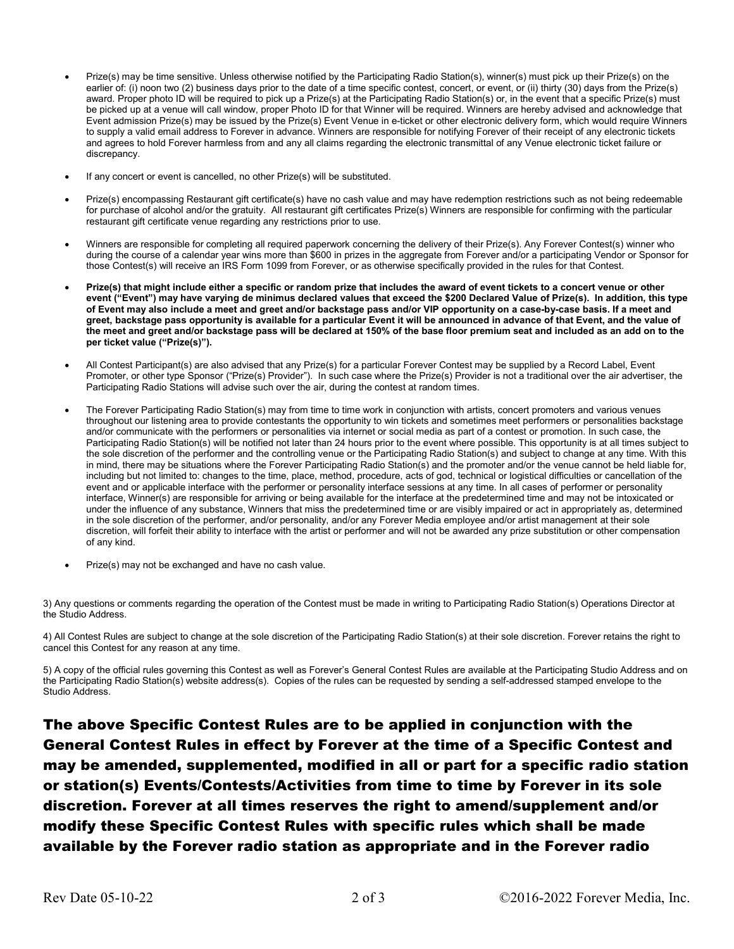- Prize(s) may be time sensitive. Unless otherwise notified by the Participating Radio Station(s), winner(s) must pick up their Prize(s) on the earlier of: (i) noon two (2) business days prior to the date of a time specific contest, concert, or event, or (ii) thirty (30) days from the Prize(s) award. Proper photo ID will be required to pick up a Prize(s) at the Participating Radio Station(s) or, in the event that a specific Prize(s) must be picked up at a venue will call window, proper Photo ID for that Winner will be required. Winners are hereby advised and acknowledge that Event admission Prize(s) may be issued by the Prize(s) Event Venue in e-ticket or other electronic delivery form, which would require Winners to supply a valid email address to Forever in advance. Winners are responsible for notifying Forever of their receipt of any electronic tickets and agrees to hold Forever harmless from and any all claims regarding the electronic transmittal of any Venue electronic ticket failure or discrepancy.
- If any concert or event is cancelled, no other Prize(s) will be substituted.
- Prize(s) encompassing Restaurant gift certificate(s) have no cash value and may have redemption restrictions such as not being redeemable for purchase of alcohol and/or the gratuity. All restaurant gift certificates Prize(s) Winners are responsible for confirming with the particular restaurant gift certificate venue regarding any restrictions prior to use.
- Winners are responsible for completing all required paperwork concerning the delivery of their Prize(s). Any Forever Contest(s) winner who during the course of a calendar year wins more than \$600 in prizes in the aggregate from Forever and/or a participating Vendor or Sponsor for those Contest(s) will receive an IRS Form 1099 from Forever, or as otherwise specifically provided in the rules for that Contest.
- **Prize(s) that might include either a specific or random prize that includes the award of event tickets to a concert venue or other event ("Event") may have varying de minimus declared values that exceed the \$200 Declared Value of Prize(s). In addition, this type of Event may also include a meet and greet and/or backstage pass and/or VIP opportunity on a case-by-case basis. If a meet and greet, backstage pass opportunity is available for a particular Event it will be announced in advance of that Event, and the value of the meet and greet and/or backstage pass will be declared at 150% of the base floor premium seat and included as an add on to the per ticket value ("Prize(s)").**
- All Contest Participant(s) are also advised that any Prize(s) for a particular Forever Contest may be supplied by a Record Label, Event Promoter, or other type Sponsor ("Prize(s) Provider"). In such case where the Prize(s) Provider is not a traditional over the air advertiser, the Participating Radio Stations will advise such over the air, during the contest at random times.
- The Forever Participating Radio Station(s) may from time to time work in conjunction with artists, concert promoters and various venues throughout our listening area to provide contestants the opportunity to win tickets and sometimes meet performers or personalities backstage and/or communicate with the performers or personalities via internet or social media as part of a contest or promotion. In such case, the Participating Radio Station(s) will be notified not later than 24 hours prior to the event where possible. This opportunity is at all times subject to the sole discretion of the performer and the controlling venue or the Participating Radio Station(s) and subject to change at any time. With this in mind, there may be situations where the Forever Participating Radio Station(s) and the promoter and/or the venue cannot be held liable for, including but not limited to: changes to the time, place, method, procedure, acts of god, technical or logistical difficulties or cancellation of the event and or applicable interface with the performer or personality interface sessions at any time. In all cases of performer or personality interface, Winner(s) are responsible for arriving or being available for the interface at the predetermined time and may not be intoxicated or under the influence of any substance, Winners that miss the predetermined time or are visibly impaired or act in appropriately as, determined in the sole discretion of the performer, and/or personality, and/or any Forever Media employee and/or artist management at their sole discretion, will forfeit their ability to interface with the artist or performer and will not be awarded any prize substitution or other compensation of any kind.
- Prize(s) may not be exchanged and have no cash value.

3) Any questions or comments regarding the operation of the Contest must be made in writing to Participating Radio Station(s) Operations Director at the Studio Address.

4) All Contest Rules are subject to change at the sole discretion of the Participating Radio Station(s) at their sole discretion. Forever retains the right to cancel this Contest for any reason at any time.

5) A copy of the official rules governing this Contest as well as Forever's General Contest Rules are available at the Participating Studio Address and on the Participating Radio Station(s) website address(s). Copies of the rules can be requested by sending a self-addressed stamped envelope to the Studio Address.

The above Specific Contest Rules are to be applied in conjunction with the General Contest Rules in effect by Forever at the time of a Specific Contest and may be amended, supplemented, modified in all or part for a specific radio station or station(s) Events/Contests/Activities from time to time by Forever in its sole discretion. Forever at all times reserves the right to amend/supplement and/or modify these Specific Contest Rules with specific rules which shall be made available by the Forever radio station as appropriate and in the Forever radio